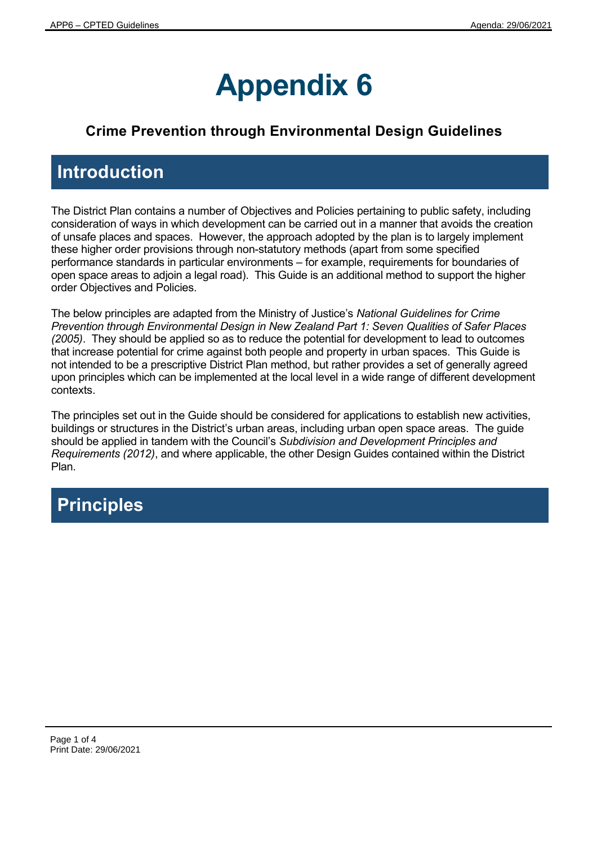## **Appendix 6**

## **Crime Prevention through Environmental Design Guidelines**

## **Introduction**

The District Plan contains a number of Objectives and Policies pertaining to public safety, including consideration of ways in which development can be carried out in a manner that avoids the creation of unsafe places and spaces. However, the approach adopted by the plan is to largely implement these higher order provisions through non-statutory methods (apart from some specified performance standards in particular environments – for example, requirements for boundaries of open space areas to adjoin a legal road). This Guide is an additional method to support the higher order Objectives and Policies.

The below principles are adapted from the Ministry of Justice's *National Guidelines for Crime Prevention through Environmental Design in New Zealand Part 1: Seven Qualities of Safer Places (2005)*. They should be applied so as to reduce the potential for development to lead to outcomes that increase potential for crime against both people and property in urban spaces. This Guide is not intended to be a prescriptive District Plan method, but rather provides a set of generally agreed upon principles which can be implemented at the local level in a wide range of different development contexts.

The principles set out in the Guide should be considered for applications to establish new activities, buildings or structures in the District's urban areas, including urban open space areas. The guide should be applied in tandem with the Council's *Subdivision and Development Principles and Requirements (2012)*, and where applicable, the other Design Guides contained within the District Plan.

## **Principles**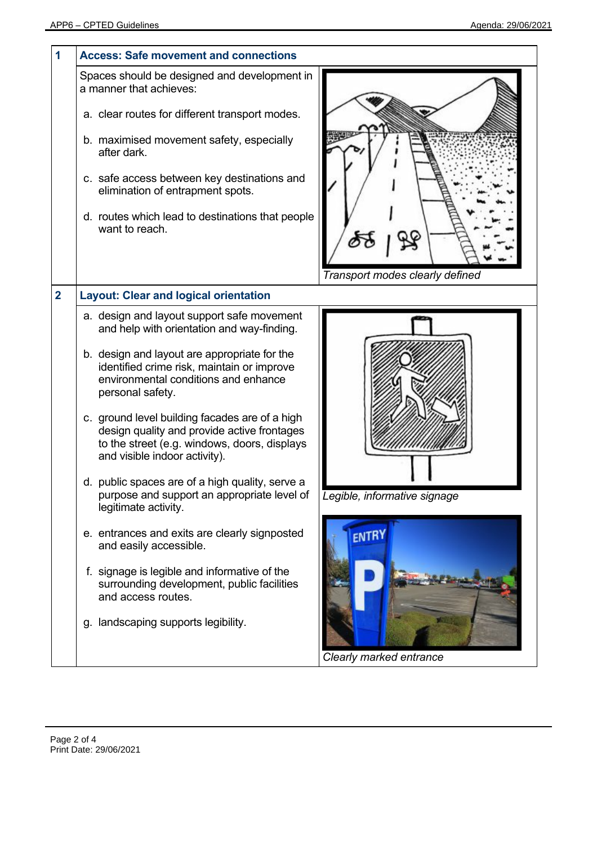| 1              | <b>Access: Safe movement and connections</b>                                                                                                                                                                                                                                                                                                                                                                                                                                                                                                                                                                                                                                                                                                                                                         |                                              |  |
|----------------|------------------------------------------------------------------------------------------------------------------------------------------------------------------------------------------------------------------------------------------------------------------------------------------------------------------------------------------------------------------------------------------------------------------------------------------------------------------------------------------------------------------------------------------------------------------------------------------------------------------------------------------------------------------------------------------------------------------------------------------------------------------------------------------------------|----------------------------------------------|--|
|                | Spaces should be designed and development in<br>a manner that achieves:<br>a. clear routes for different transport modes.<br>b. maximised movement safety, especially<br>after dark.<br>c. safe access between key destinations and<br>elimination of entrapment spots.<br>d. routes which lead to destinations that people<br>want to reach.                                                                                                                                                                                                                                                                                                                                                                                                                                                        | Transport modes clearly defined              |  |
| $\overline{2}$ | <b>Layout: Clear and logical orientation</b>                                                                                                                                                                                                                                                                                                                                                                                                                                                                                                                                                                                                                                                                                                                                                         |                                              |  |
|                | a. design and layout support safe movement<br>and help with orientation and way-finding.<br>b. design and layout are appropriate for the<br>identified crime risk, maintain or improve<br>environmental conditions and enhance<br>personal safety.<br>c. ground level building facades are of a high<br>design quality and provide active frontages<br>to the street (e.g. windows, doors, displays<br>and visible indoor activity).<br>d. public spaces are of a high quality, serve a<br>purpose and support an appropriate level of<br>legitimate activity.<br>e. entrances and exits are clearly signposted<br>and easily accessible.<br>f. signage is legible and informative of the<br>surrounding development, public facilities<br>and access routes.<br>g. landscaping supports legibility. | Legible, informative signage<br><b>ENTRY</b> |  |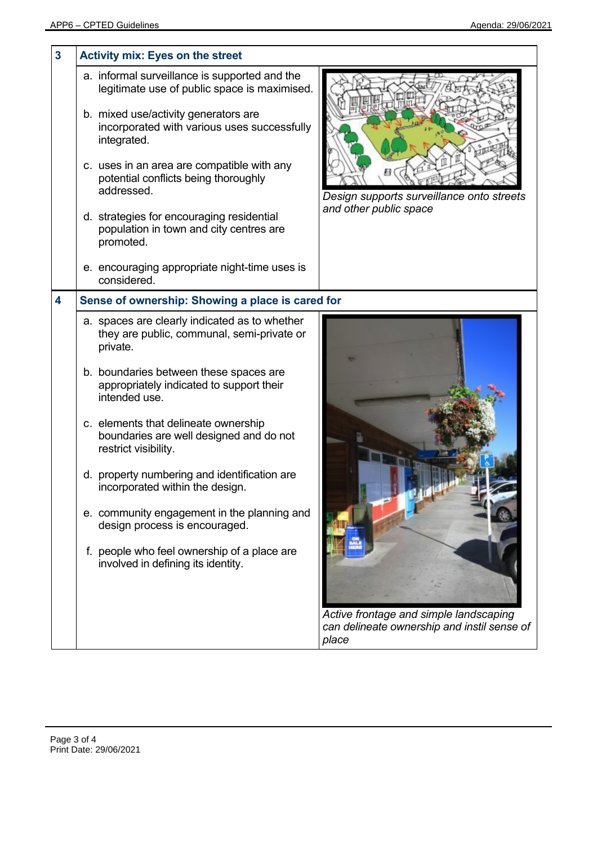| 3 | <b>Activity mix: Eyes on the street</b>          |                                                                                               |                                                      |  |
|---|--------------------------------------------------|-----------------------------------------------------------------------------------------------|------------------------------------------------------|--|
|   |                                                  | a. informal surveillance is supported and the<br>legitimate use of public space is maximised. |                                                      |  |
|   | integrated.                                      | b. mixed use/activity generators are<br>incorporated with various uses successfully           |                                                      |  |
|   | addressed.                                       | c. uses in an area are compatible with any<br>potential conflicts being thoroughly            | Design supports surveillance onto streets            |  |
|   | promoted.                                        | d. strategies for encouraging residential<br>population in town and city centres are          | and other public space                               |  |
|   | considered.                                      | e. encouraging appropriate night-time uses is                                                 |                                                      |  |
| 4 | Sense of ownership: Showing a place is cared for |                                                                                               |                                                      |  |
|   | private.                                         | a. spaces are clearly indicated as to whether<br>they are public, communal, semi-private or   |                                                      |  |
|   | intended use.                                    | b. boundaries between these spaces are<br>appropriately indicated to support their            |                                                      |  |
|   | restrict visibility.                             | c. elements that delineate ownership<br>boundaries are well designed and do not               |                                                      |  |
|   |                                                  | d. property numbering and identification are<br>incorporated within the design.               |                                                      |  |
|   |                                                  | e. community engagement in the planning and<br>design process is encouraged.                  |                                                      |  |
|   |                                                  | f. people who feel ownership of a place are<br>involved in defining its identity.             | Active frontage and simple landscaping               |  |
|   |                                                  |                                                                                               | can delineate ownership and instil sense of<br>place |  |